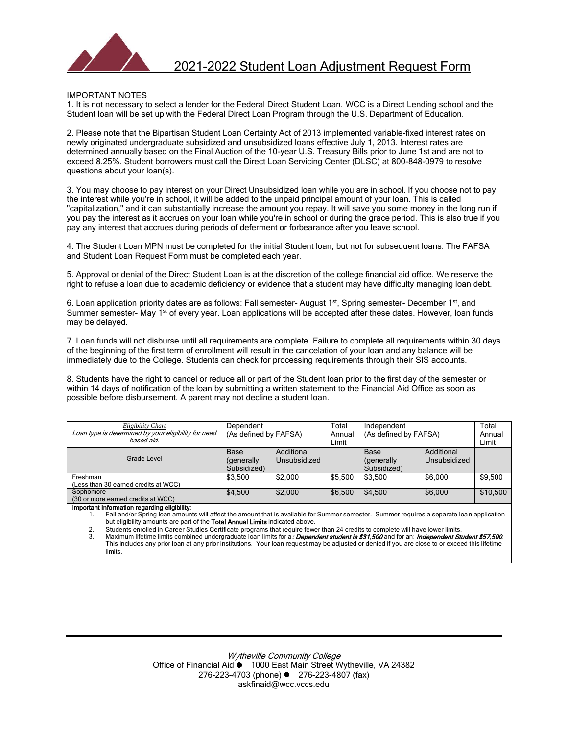

## IMPORTANT NOTES

1. It is not necessary to select a lender for the Federal Direct Student Loan. WCC is a Direct Lending school and the Student loan will be set up with the Federal Direct Loan Program through the U.S. Department of Education.

2. Please note that the Bipartisan Student Loan Certainty Act of 2013 implemented variable-fixed interest rates on newly originated undergraduate subsidized and unsubsidized loans effective July 1, 2013. Interest rates are determined annually based on the Final Auction of the 10-year U.S. Treasury Bills prior to June 1st and are not to exceed 8.25%. Student borrowers must call the Direct Loan Servicing Center (DLSC) at 800-848-0979 to resolve questions about your loan(s).

3. You may choose to pay interest on your Direct Unsubsidized loan while you are in school. If you choose not to pay the interest while you're in school, it will be added to the unpaid principal amount of your loan. This is called "capitalization," and it can substantially increase the amount you repay. It will save you some money in the long run if you pay the interest as it accrues on your loan while you're in school or during the grace period. This is also true if you pay any interest that accrues during periods of deferment or forbearance after you leave school.

4. The Student Loan MPN must be completed for the initial Student loan, but not for subsequent loans. The FAFSA and Student Loan Request Form must be completed each year.

5. Approval or denial of the Direct Student Loan is at the discretion of the college financial aid office. We reserve the right to refuse a loan due to academic deficiency or evidence that a student may have difficulty managing loan debt.

6. Loan application priority dates are as follows: Fall semester- August 1<sup>st</sup>, Spring semester- December 1<sup>st</sup>, and Summer semester- May 1<sup>st</sup> of every year. Loan applications will be accepted after these dates. However, loan funds may be delayed.

7. Loan funds will not disburse until all requirements are complete. Failure to complete all requirements within 30 days of the beginning of the first term of enrollment will result in the cancelation of your loan and any balance will be immediately due to the College. Students can check for processing requirements through their SIS accounts.

8. Students have the right to cancel or reduce all or part of the Student loan prior to the first day of the semester or within 14 days of notification of the loan by submitting a written statement to the Financial Aid Office as soon as possible before disbursement. A parent may not decline a student loan.

| Eligibility Chart<br>Loan type is determined by your eligibility for need<br>based aid. | Dependent<br>(As defined by FAFSA) |                            | Total<br>Annual<br>Limit | Independent<br>(As defined by FAFSA) |                            | Total<br>Annual<br>Limit |
|-----------------------------------------------------------------------------------------|------------------------------------|----------------------------|--------------------------|--------------------------------------|----------------------------|--------------------------|
| Grade Level                                                                             | Base<br>(generally)<br>Subsidized) | Additional<br>Unsubsidized |                          | Base<br>(generally)<br>Subsidized)   | Additional<br>Unsubsidized |                          |
| Freshman<br>(Less than 30 earned credits at WCC)                                        | \$3.500                            | \$2.000                    | \$5.500                  | \$3.500                              | \$6,000                    | \$9.500                  |
| Sophomore<br>(30 or more earned credits at WCC)                                         | \$4.500                            | \$2.000                    | \$6.500                  | \$4.500                              | \$6,000                    | \$10,500                 |
| Important Information regarding eligibility:                                            |                                    |                            |                          |                                      |                            |                          |

**Important Information regarding eligibility:**<br>1. Fall and/or Spring loan amounts will affect the amount that is available for Summer semester. Summer requires a separate loan application but eligibility amounts are part of the Total Annual Limits indicated above.

2. Students enrolled in Career Studies Certificate programs that require fewer than 24 credits to complete will have lower limits.

Maximum lifetime limits combined undergraduate loan limits for a: Dependent student is \$31,500 and for an: Independent Student \$57,500. This includes any prior loan at any prior institutions. Your loan request may be adjusted or denied if you are close to or exceed this lifetime limits.